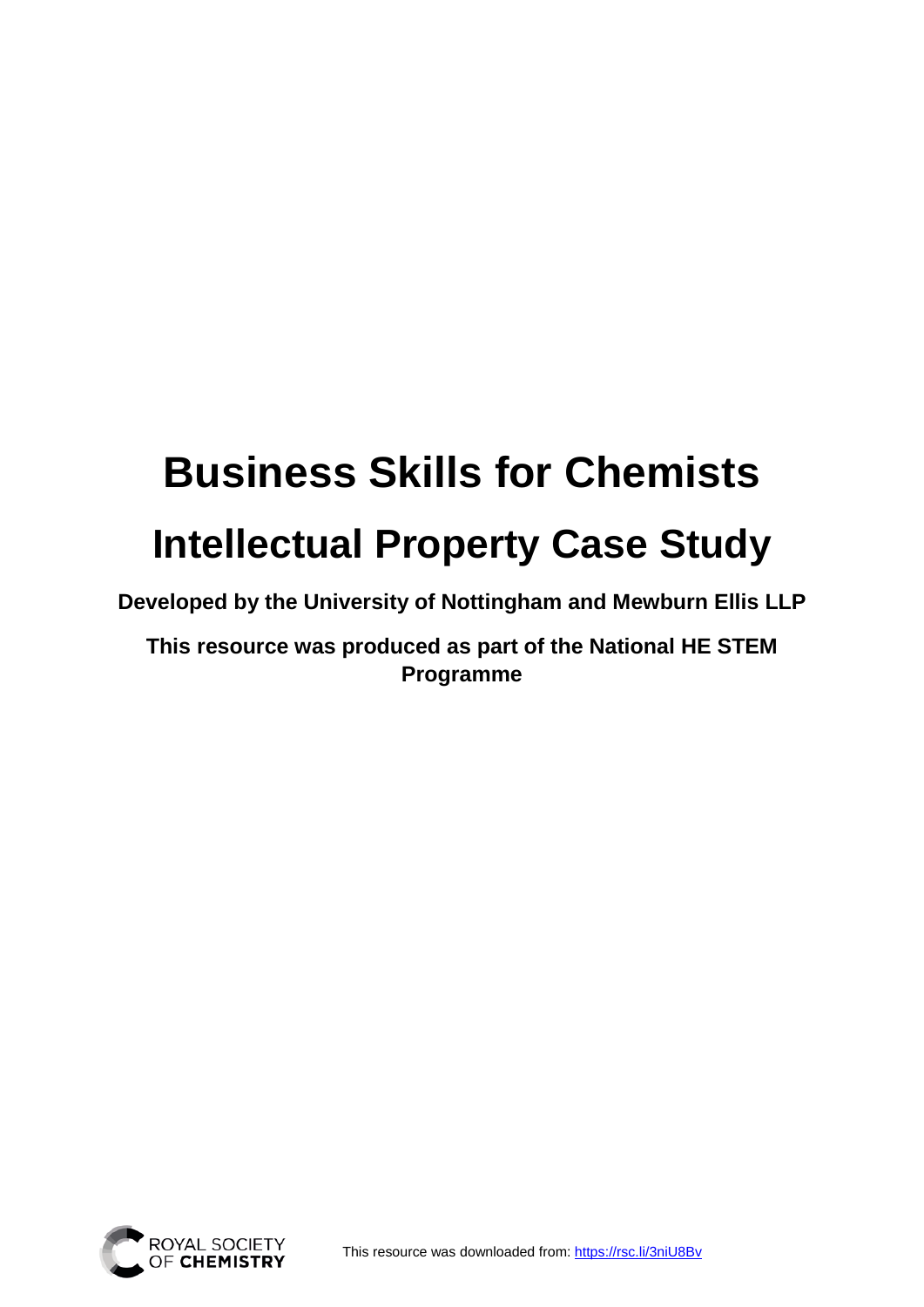## **Business Skills for Chemists Intellectual Property Case Study**

**Developed by the University of Nottingham and Mewburn Ellis LLP**

**This resource was produced as part of the National HE STEM Programme**